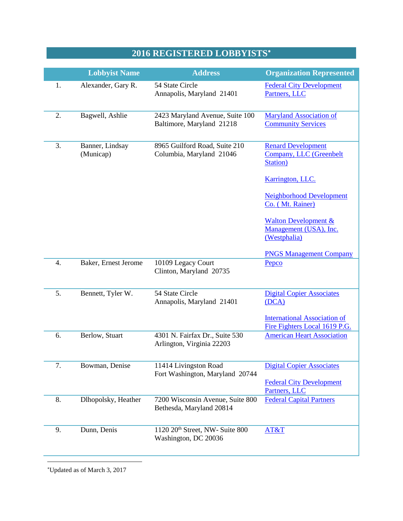## **2016 REGISTERED LOBBYISTS**[∗](#page-0-0)

|                  | <b>Lobbyist Name</b>         | <b>Address</b>                                                      | <b>Organization Represented</b>                                           |
|------------------|------------------------------|---------------------------------------------------------------------|---------------------------------------------------------------------------|
| 1.               | Alexander, Gary R.           | 54 State Circle<br>Annapolis, Maryland 21401                        | <b>Federal City Development</b><br>Partners, LLC                          |
| 2.               | Bagwell, Ashlie              | 2423 Maryland Avenue, Suite 100<br>Baltimore, Maryland 21218        | <b>Maryland Association of</b><br><b>Community Services</b>               |
| 3.               | Banner, Lindsay<br>(Municap) | 8965 Guilford Road, Suite 210<br>Columbia, Maryland 21046           | <b>Renard Development</b><br>Company, LLC (Greenbelt<br>Station)          |
|                  |                              |                                                                     | Karrington, LLC.                                                          |
|                  |                              |                                                                     | <b>Neighborhood Development</b><br>Co. (Mt. Rainer)                       |
|                  |                              |                                                                     | <b>Walton Development &amp;</b><br>Management (USA), Inc.<br>(Westphalia) |
|                  |                              |                                                                     | <b>PNGS Management Company</b>                                            |
| $\overline{4}$ . | Baker, Ernest Jerome         | 10109 Legacy Court<br>Clinton, Maryland 20735                       | Pepco                                                                     |
| 5.               | Bennett, Tyler W.            | 54 State Circle<br>Annapolis, Maryland 21401                        | <b>Digital Copier Associates</b><br>(DCA)                                 |
|                  |                              |                                                                     | <b>International Association of</b><br>Fire Fighters Local 1619 P.G.      |
| 6.               | Berlow, Stuart               | 4301 N. Fairfax Dr., Suite 530<br>Arlington, Virginia 22203         | <b>American Heart Association</b>                                         |
| 7.               | Bowman, Denise               | 11414 Livingston Road<br>Fort Washington, Maryland 20744            | <b>Digital Copier Associates</b>                                          |
|                  |                              |                                                                     | <b>Federal City Development</b><br>Partners, LLC                          |
| 8.               | Dlhopolsky, Heather          | 7200 Wisconsin Avenue, Suite 800<br>Bethesda, Maryland 20814        | <b>Federal Capital Partners</b>                                           |
| 9.               | Dunn, Denis                  | 1120 20 <sup>th</sup> Street, NW- Suite 800<br>Washington, DC 20036 | AT&T                                                                      |

<span id="page-0-0"></span>∗ Updated as of March 3, 2017

 $\overline{a}$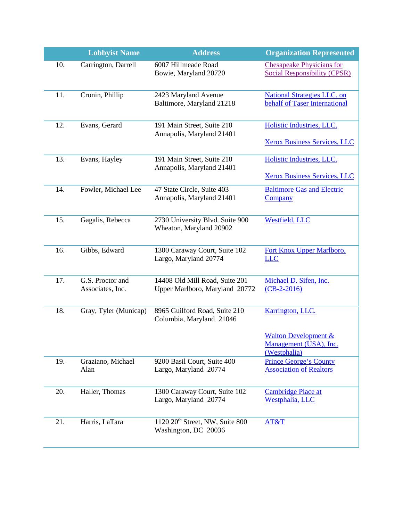|     | <b>Lobbyist Name</b>                 | <b>Address</b>                                                      | <b>Organization Represented</b>                                                 |
|-----|--------------------------------------|---------------------------------------------------------------------|---------------------------------------------------------------------------------|
| 10. | Carrington, Darrell                  | 6007 Hillmeade Road<br>Bowie, Maryland 20720                        | <b>Chesapeake Physicians for</b><br><b>Social Responsibility (CPSR)</b>         |
| 11. | Cronin, Phillip                      | 2423 Maryland Avenue<br>Baltimore, Maryland 21218                   | <b>National Strategies LLC. on</b><br>behalf of Taser International             |
| 12. | Evans, Gerard                        | 191 Main Street, Suite 210<br>Annapolis, Maryland 21401             | Holistic Industries, LLC.<br><b>Xerox Business Services, LLC</b>                |
| 13. | Evans, Hayley                        | 191 Main Street, Suite 210<br>Annapolis, Maryland 21401             | Holistic Industries, LLC.<br><b>Xerox Business Services, LLC</b>                |
| 14. | Fowler, Michael Lee                  | 47 State Circle, Suite 403<br>Annapolis, Maryland 21401             | <b>Baltimore Gas and Electric</b><br>Company                                    |
| 15. | Gagalis, Rebecca                     | 2730 University Blvd. Suite 900<br>Wheaton, Maryland 20902          | <b>Westfield</b> , LLC                                                          |
| 16. | Gibbs, Edward                        | 1300 Caraway Court, Suite 102<br>Largo, Maryland 20774              | Fort Knox Upper Marlboro,<br><u>LLC</u>                                         |
| 17. | G.S. Proctor and<br>Associates, Inc. | 14408 Old Mill Road, Suite 201<br>Upper Marlboro, Maryland 20772    | Michael D. Sifen, Inc.<br>$(CB-2-2016)$                                         |
| 18. | Gray, Tyler (Municap)                | 8965 Guilford Road, Suite 210<br>Columbia, Maryland 21046           | Karrington, LLC.<br><b>Walton Development &amp;</b><br>Management (USA), Inc.   |
| 19. | Graziano, Michael<br>Alan            | 9200 Basil Court, Suite 400<br>Largo, Maryland 20774                | (Westphalia)<br><b>Prince George's County</b><br><b>Association of Realtors</b> |
| 20. | Haller, Thomas                       | 1300 Caraway Court, Suite 102<br>Largo, Maryland 20774              | <b>Cambridge Place at</b><br>Westphalia, LLC                                    |
| 21. | Harris, LaTara                       | 1120 20 <sup>th</sup> Street, NW, Suite 800<br>Washington, DC 20036 | AT&T                                                                            |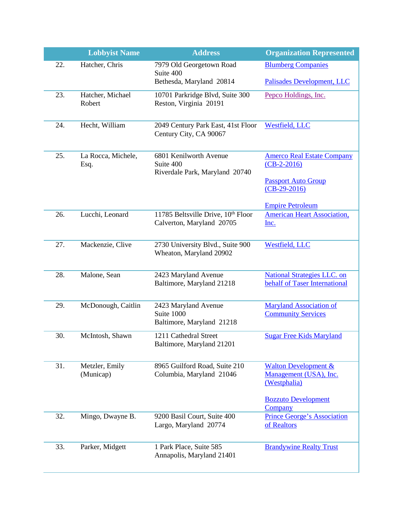|     | <b>Lobbyist Name</b>        | <b>Address</b>                                                        | <b>Organization Represented</b>                                           |
|-----|-----------------------------|-----------------------------------------------------------------------|---------------------------------------------------------------------------|
| 22. | Hatcher, Chris              | 7979 Old Georgetown Road                                              | <b>Blumberg Companies</b>                                                 |
|     |                             | Suite 400<br>Bethesda, Maryland 20814                                 | Palisades Development, LLC                                                |
| 23. | Hatcher, Michael<br>Robert  | 10701 Parkridge Blvd, Suite 300<br>Reston, Virginia 20191             | Pepco Holdings, Inc.                                                      |
| 24. | Hecht, William              | 2049 Century Park East, 41st Floor<br>Century City, CA 90067          | <b>Westfield, LLC</b>                                                     |
| 25. | La Rocca, Michele,<br>Esq.  | 6801 Kenilworth Avenue<br>Suite 400<br>Riverdale Park, Maryland 20740 | <b>Amerco Real Estate Company</b><br>$(CB-2-2016)$                        |
|     |                             |                                                                       | <b>Passport Auto Group</b><br>$(CB-29-2016)$                              |
|     |                             |                                                                       | <b>Empire Petroleum</b>                                                   |
| 26. | Lucchi, Leonard             | 11785 Beltsville Drive, 10th Floor<br>Calverton, Maryland 20705       | <b>American Heart Association,</b><br>Inc.                                |
| 27. | Mackenzie, Clive            | 2730 University Blvd., Suite 900<br>Wheaton, Maryland 20902           | Westfield, LLC                                                            |
| 28. | Malone, Sean                | 2423 Maryland Avenue                                                  | <b>National Strategies LLC. on</b>                                        |
|     |                             | Baltimore, Maryland 21218                                             | behalf of Taser International                                             |
| 29. | McDonough, Caitlin          | 2423 Maryland Avenue                                                  | <b>Maryland Association of</b>                                            |
|     |                             | Suite 1000<br>Baltimore, Maryland 21218                               | <b>Community Services</b>                                                 |
| 30. | McIntosh, Shawn             | 1211 Cathedral Street<br>Baltimore, Maryland 21201                    | <b>Sugar Free Kids Maryland</b>                                           |
| 31. | Metzler, Emily<br>(Municap) | 8965 Guilford Road, Suite 210<br>Columbia, Maryland 21046             | <b>Walton Development &amp;</b><br>Management (USA), Inc.<br>(Westphalia) |
|     |                             |                                                                       | <b>Bozzuto Development</b><br><b>Company</b>                              |
| 32. | Mingo, Dwayne B.            | 9200 Basil Court, Suite 400<br>Largo, Maryland 20774                  | Prince George's Association<br>of Realtors                                |
| 33. | Parker, Midgett             | 1 Park Place, Suite 585<br>Annapolis, Maryland 21401                  | <b>Brandywine Realty Trust</b>                                            |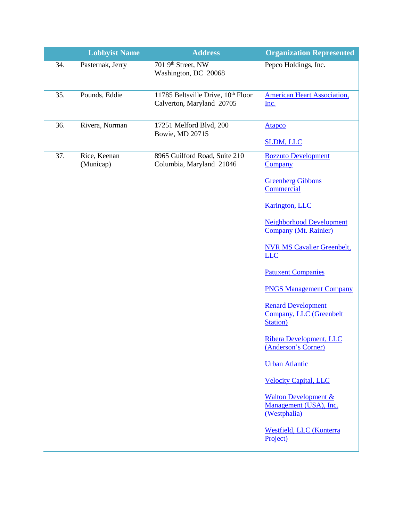|     | <b>Lobbyist Name</b>      | <b>Address</b>                                                  | <b>Organization Represented</b>                                           |
|-----|---------------------------|-----------------------------------------------------------------|---------------------------------------------------------------------------|
| 34. | Pasternak, Jerry          | 701 9 <sup>th</sup> Street, NW<br>Washington, DC 20068          | Pepco Holdings, Inc.                                                      |
| 35. | Pounds, Eddie             | 11785 Beltsville Drive, 10th Floor<br>Calverton, Maryland 20705 | <b>American Heart Association,</b><br>Inc.                                |
| 36. | Rivera, Norman            | 17251 Melford Blvd, 200<br>Bowie, MD 20715                      | <b>Atapco</b>                                                             |
|     |                           |                                                                 | <b>SLDM, LLC</b>                                                          |
| 37. | Rice, Keenan<br>(Municap) | 8965 Guilford Road, Suite 210<br>Columbia, Maryland 21046       | <b>Bozzuto Development</b><br>Company                                     |
|     |                           |                                                                 | <b>Greenberg Gibbons</b><br>Commercial                                    |
|     |                           |                                                                 | <b>Karington</b> , LLC                                                    |
|     |                           |                                                                 | <b>Neighborhood Development</b><br>Company (Mt. Rainier)                  |
|     |                           |                                                                 | <b>NVR MS Cavalier Greenbelt,</b><br><b>LLC</b>                           |
|     |                           |                                                                 | <b>Patuxent Companies</b>                                                 |
|     |                           |                                                                 | <b>PNGS Management Company</b>                                            |
|     |                           |                                                                 | <b>Renard Development</b><br><b>Company, LLC (Greenbelt</b><br>Station)   |
|     |                           |                                                                 | Ribera Development, LLC<br>(Anderson's Corner)                            |
|     |                           |                                                                 | <b>Urban Atlantic</b>                                                     |
|     |                           |                                                                 | <b>Velocity Capital, LLC</b>                                              |
|     |                           |                                                                 | <b>Walton Development &amp;</b><br>Management (USA), Inc.<br>(Westphalia) |
|     |                           |                                                                 | Westfield, LLC (Konterra<br>Project)                                      |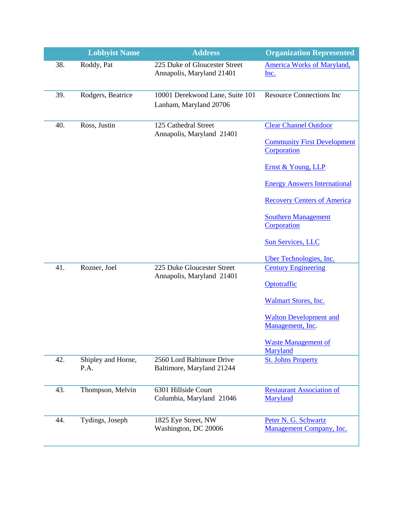|     | <b>Lobbyist Name</b>       | <b>Address</b>                                             | <b>Organization Represented</b>                                    |
|-----|----------------------------|------------------------------------------------------------|--------------------------------------------------------------------|
| 38. | Roddy, Pat                 | 225 Duke of Gloucester Street<br>Annapolis, Maryland 21401 | <b>America Works of Maryland,</b><br>Inc.                          |
| 39. | Rodgers, Beatrice          | 10001 Derekwood Lane, Suite 101<br>Lanham, Maryland 20706  | <b>Resource Connections Inc</b>                                    |
| 40. | Ross, Justin               | 125 Cathedral Street<br>Annapolis, Maryland 21401          | <b>Clear Channel Outdoor</b><br><b>Community First Development</b> |
|     |                            |                                                            | Corporation<br>Ernst & Young, LLP                                  |
|     |                            |                                                            | <b>Energy Answers International</b>                                |
|     |                            |                                                            | <b>Recovery Centers of America</b>                                 |
|     |                            |                                                            | <b>Southern Management</b><br>Corporation                          |
|     |                            |                                                            | <b>Sun Services, LLC</b>                                           |
|     |                            |                                                            | Uber Technologies, Inc.                                            |
| 41. | Rozner, Joel               | 225 Duke Gloucester Street<br>Annapolis, Maryland 21401    | <b>Century Engineering</b>                                         |
|     |                            |                                                            | Optotraffic                                                        |
|     |                            |                                                            | <b>Walmart Stores, Inc.</b>                                        |
|     |                            |                                                            | <b>Walton Development and</b><br>Management, Inc.                  |
|     |                            |                                                            | <b>Waste Management of</b><br>Maryland                             |
| 42. | Shipley and Horne,<br>P.A. | 2560 Lord Baltimore Drive<br>Baltimore, Maryland 21244     | <b>St. Johns Property</b>                                          |
| 43. | Thompson, Melvin           | 6301 Hillside Court<br>Columbia, Maryland 21046            | <b>Restaurant Association</b> of<br>Maryland                       |
| 44. | Tydings, Joseph            | 1825 Eye Street, NW<br>Washington, DC 20006                | Peter N. G. Schwartz<br><b>Management Company, Inc.</b>            |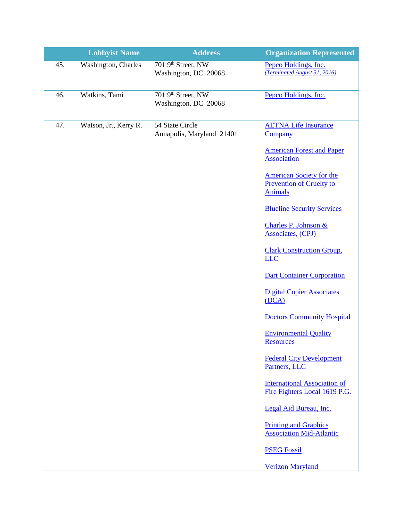|     | <b>Lobbyist Name</b>  | <b>Address</b>                                         | <b>Organization Represented</b>                                                      |
|-----|-----------------------|--------------------------------------------------------|--------------------------------------------------------------------------------------|
| 45. | Washington, Charles   | 701 9 <sup>th</sup> Street, NW<br>Washington, DC 20068 | Pepco Holdings, Inc.<br>(Terminated August 31, 2016)                                 |
| 46. | Watkins, Tami         | 701 9 <sup>th</sup> Street, NW<br>Washington, DC 20068 | Pepco Holdings, Inc.                                                                 |
| 47. | Watson, Jr., Kerry R. | 54 State Circle<br>Annapolis, Maryland 21401           | <b>AETNA Life Insurance</b><br>Company                                               |
|     |                       |                                                        | <b>American Forest and Paper</b><br><b>Association</b>                               |
|     |                       |                                                        | <b>American Society for the</b><br><b>Prevention of Cruelty to</b><br><b>Animals</b> |
|     |                       |                                                        | <b>Blueline Security Services</b>                                                    |
|     |                       |                                                        | Charles P. Johnson &<br>Associates, (CPJ)                                            |
|     |                       |                                                        | <b>Clark Construction Group,</b><br><b>LLC</b>                                       |
|     |                       |                                                        | <b>Dart Container Corporation</b>                                                    |
|     |                       |                                                        | <b>Digital Copier Associates</b><br>(DCA)                                            |
|     |                       |                                                        | <b>Doctors Community Hospital</b>                                                    |
|     |                       |                                                        | <b>Environmental Quality</b><br><b>Resources</b>                                     |
|     |                       |                                                        | <b>Federal City Development</b><br>Partners, LLC                                     |
|     |                       |                                                        | <b>International Association of</b><br>Fire Fighters Local 1619 P.G.                 |
|     |                       |                                                        | Legal Aid Bureau, Inc.                                                               |
|     |                       |                                                        | <b>Printing and Graphics</b><br><b>Association Mid-Atlantic</b>                      |
|     |                       |                                                        | <b>PSEG Fossil</b>                                                                   |
|     |                       |                                                        | <b>Verizon Maryland</b>                                                              |